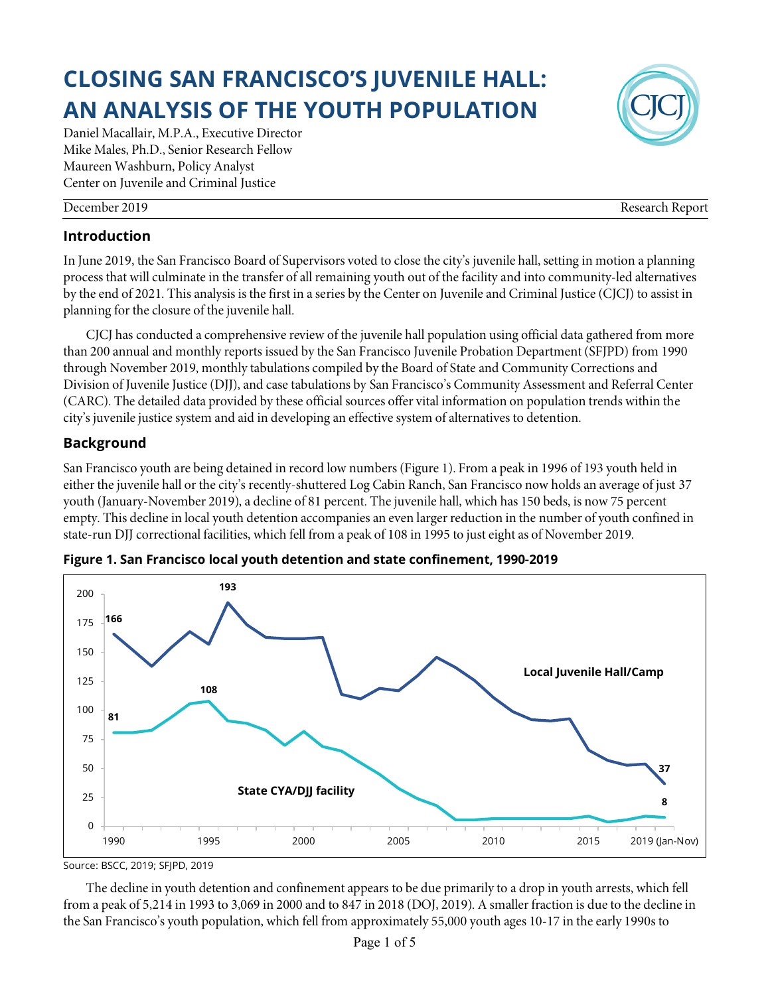# **CLOSING SAN FRANCISCO'S JUVENILE HALL: AN ANALYSIS OF THE YOUTH POPULATION**

Daniel Macallair, M.P.A., Executive Director Mike Males, Ph.D., Senior Research Fellow Maureen Washburn, Policy Analyst Center on Juvenile and Criminal Justice

# **Introduction**

In June 2019, the San Francisco Board of Supervisors voted to close the city's juvenile hall, setting in motion a planning process that will culminate in the transfer of all remaining youth out of the facility and into community-led alternatives by the end of 2021. This analysis is the first in a series by the Center on Juvenile and Criminal Justice (CJCJ) to assist in planning for the closure of the juvenile hall.

CJCJ has conducted a comprehensive review of the juvenile hall population using official data gathered from more than 200 annual and monthly reports issued by the San Francisco Juvenile Probation Department (SFJPD) from 1990 through November 2019, monthly tabulations compiled by the Board of State and Community Corrections and Division of Juvenile Justice (DJJ), and case tabulations by San Francisco's Community Assessment and Referral Center (CARC). The detailed data provided by these official sources offer vital information on population trends within the city's juvenile justice system and aid in developing an effective system of alternatives to detention.

# **Background**

San Francisco youth are being detained in record low numbers (Figure 1). From a peak in 1996 of 193 youth held in either the juvenile hall or the city's recently-shuttered Log Cabin Ranch, San Francisco now holds an average of just 37 youth (January-November 2019), a decline of 81 percent. The juvenile hall, which has 150 beds, is now 75 percent empty. This decline in local youth detention accompanies an even larger reduction in the number of youth confined in state-run DJJ correctional facilities, which fell from a peak of 108 in 1995 to just eight as of November 2019.



**Figure 1. San Francisco local youth detention and state confinement, 1990-2019**

The decline in youth detention and confinement appears to be due primarily to a drop in youth arrests, which fell from a peak of 5,214 in 1993 to 3,069 in 2000 and to 847 in 2018 (DOJ, 2019). A smaller fraction is due to the decline in the San Francisco's youth population, which fell from approximately 55,000 youth ages 10-17 in the early 1990s to



December 2019 Research Report

Source: BSCC, 2019; SFJPD, 2019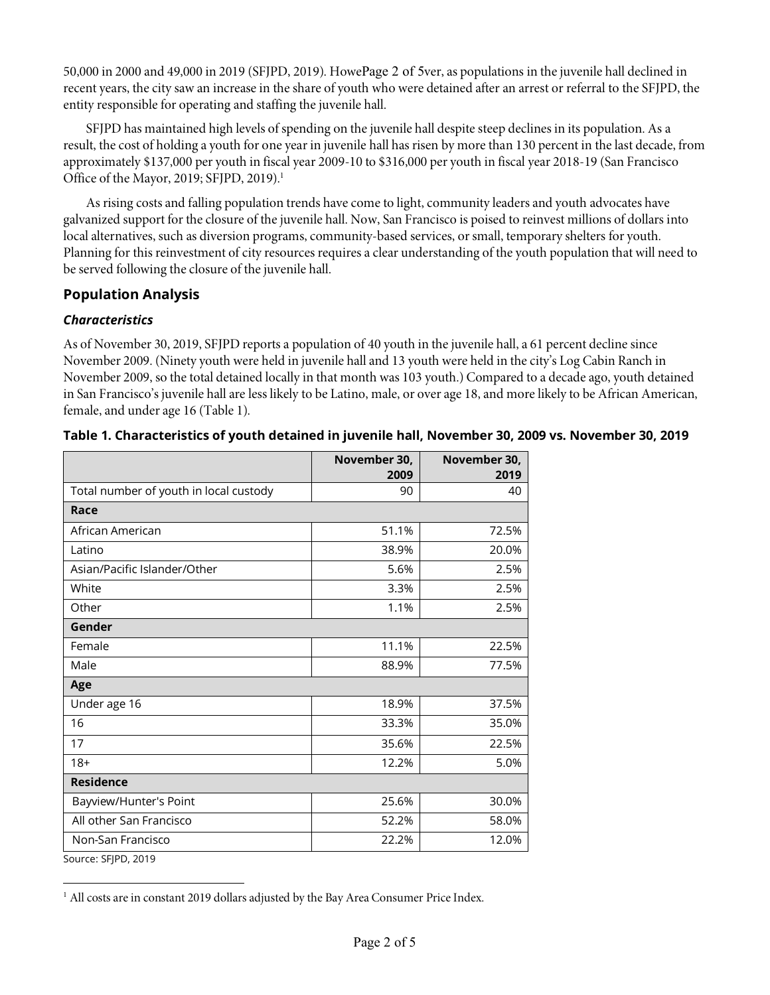50,000 in 2000 and 49,000 in 2019 (SFJPD, 2019). HowePage 2 of 5ver, as populations in the juvenile hall declined in recent years, the city saw an increase in the share of youth who were detained after an arrest or referral to the SFJPD, the entity responsible for operating and staffing the juvenile hall.

SFJPD has maintained high levels of spending on the juvenile hall despite steep declines in its population. As a result, the cost of holding a youth for one year in juvenile hall has risen by more than 130 percent in the last decade, from approximately \$137,000 per youth in fiscal year 2009-10 to \$316,000 per youth in fiscal year 2018-19 (San Francisco Office of the Mayor, 2019; SFJPD, 2019). 1

As rising costs and falling population trends have come to light, community leaders and youth advocates have galvanized support for the closure of the juvenile hall. Now, San Francisco is poised to reinvest millions of dollars into local alternatives, such as diversion programs, community-based services, or small, temporary shelters for youth. Planning for this reinvestment of city resources requires a clear understanding of the youth population that will need to be served following the closure of the juvenile hall.

### **Population Analysis**

#### *Characteristics*

 $\overline{a}$ 

As of November 30, 2019, SFJPD reports a population of 40 youth in the juvenile hall, a 61 percent decline since November 2009. (Ninety youth were held in juvenile hall and 13 youth were held in the city's Log Cabin Ranch in November 2009, so the total detained locally in that month was 103 youth.) Compared to a decade ago, youth detained in San Francisco's juvenile hall are less likely to be Latino, male, or over age 18, and more likely to be African American, female, and under age 16 (Table 1).

|                                        | November 30,<br>2009 | November 30,<br>2019 |
|----------------------------------------|----------------------|----------------------|
| Total number of youth in local custody | 90                   | 40                   |
| Race                                   |                      |                      |
| African American                       | 51.1%                | 72.5%                |
| Latino                                 | 38.9%                | 20.0%                |
| Asian/Pacific Islander/Other           | 5.6%                 | 2.5%                 |
| White                                  | 3.3%                 | 2.5%                 |
| Other                                  | 1.1%                 | 2.5%                 |
| Gender                                 |                      |                      |
| Female                                 | 11.1%                | 22.5%                |
| Male                                   | 88.9%                | 77.5%                |
| Age                                    |                      |                      |
| Under age 16                           | 18.9%                | 37.5%                |
| 16                                     | 33.3%                | 35.0%                |
| 17                                     | 35.6%                | 22.5%                |
| $18+$                                  | 12.2%                | 5.0%                 |
| <b>Residence</b>                       |                      |                      |
| Bayview/Hunter's Point                 | 25.6%                | 30.0%                |
| All other San Francisco                | 52.2%                | 58.0%                |
| Non-San Francisco                      | 22.2%                | 12.0%                |
| Source: SFJPD, 2019                    |                      |                      |

#### **Table 1. Characteristics of youth detained in juvenile hall, November 30, 2009 vs. November 30, 2019**

<sup>&</sup>lt;sup>1</sup> All costs are in constant 2019 dollars adjusted by the Bay Area Consumer Price Index.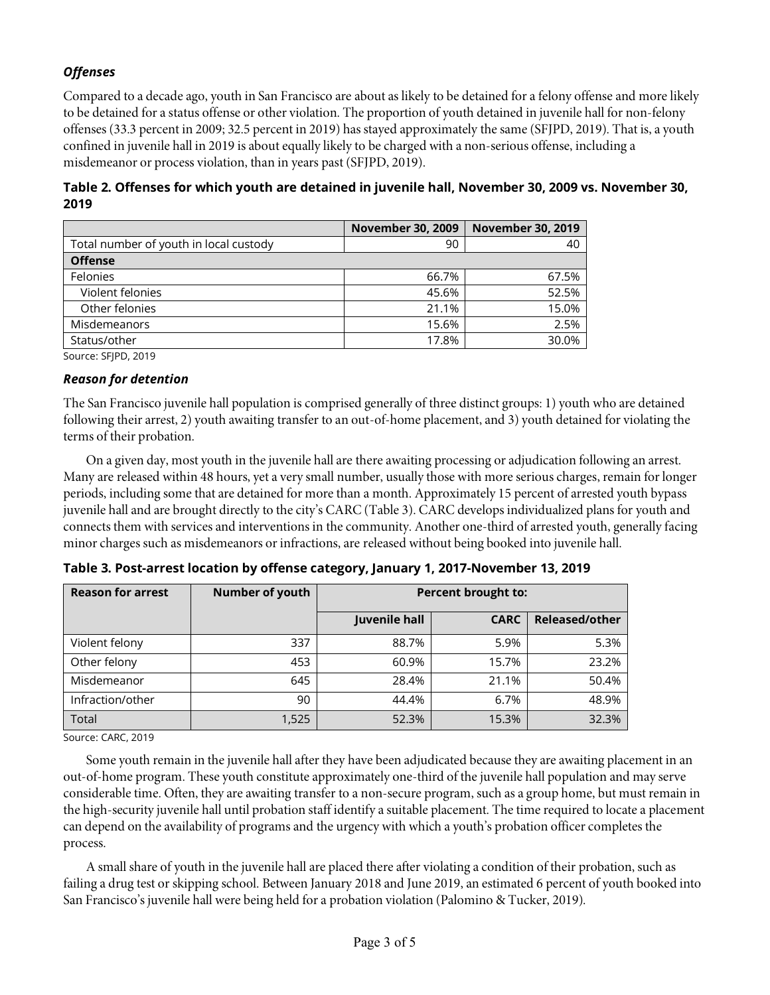# *Offenses*

Compared to a decade ago, youth in San Francisco are about as likely to be detained for a felony offense and more likely to be detained for a status offense or other violation. The proportion of youth detained in juvenile hall for non-felony offenses (33.3 percent in 2009; 32.5 percent in 2019) has stayed approximately the same (SFJPD, 2019). That is, a youth confined in juvenile hall in 2019 is about equally likely to be charged with a non-serious offense, including a misdemeanor or process violation, than in years past (SFJPD, 2019).

**Table 2. Offenses for which youth are detained in juvenile hall, November 30, 2009 vs. November 30, 2019**

|                                        | <b>November 30, 2009</b> | <b>November 30, 2019</b> |
|----------------------------------------|--------------------------|--------------------------|
| Total number of youth in local custody | 90                       | 40                       |
| <b>Offense</b>                         |                          |                          |
| Felonies                               | 66.7%                    | 67.5%                    |
| Violent felonies                       | 45.6%                    | 52.5%                    |
| Other felonies                         | 21.1%                    | 15.0%                    |
| Misdemeanors                           | 15.6%                    | 2.5%                     |
| Status/other                           | 17.8%                    | 30.0%                    |

Source: SFJPD, 2019

#### *Reason for detention*

The San Francisco juvenile hall population is comprised generally of three distinct groups: 1) youth who are detained following their arrest, 2) youth awaiting transfer to an out-of-home placement, and 3) youth detained for violating the terms of their probation.

On a given day, most youth in the juvenile hall are there awaiting processing or adjudication following an arrest. Many are released within 48 hours, yet a very small number, usually those with more serious charges, remain for longer periods, including some that are detained for more than a month. Approximately 15 percent of arrested youth bypass juvenile hall and are brought directly to the city's CARC (Table 3). CARC develops individualized plans for youth and connects them with services and interventions in the community. Another one-third of arrested youth, generally facing minor charges such as misdemeanors or infractions, are released without being booked into juvenile hall.

| <b>Reason for arrest</b> | <b>Number of youth</b> | <b>Percent brought to:</b> |             |                |
|--------------------------|------------------------|----------------------------|-------------|----------------|
|                          |                        | Juvenile hall              | <b>CARC</b> | Released/other |
| Violent felony           | 337                    | 88.7%                      | 5.9%        | 5.3%           |
| Other felony             | 453                    | 60.9%                      | 15.7%       | 23.2%          |
| Misdemeanor              | 645                    | 28.4%                      | 21.1%       | 50.4%          |
| Infraction/other         | 90                     | 44.4%                      | 6.7%        | 48.9%          |
| Total                    | 1,525                  | 52.3%                      | 15.3%       | 32.3%          |

**Table 3. Post-arrest location by offense category, January 1, 2017-November 13, 2019**

Source: CARC, 2019

Some youth remain in the juvenile hall after they have been adjudicated because they are awaiting placement in an out-of-home program. These youth constitute approximately one-third of the juvenile hall population and may serve considerable time. Often, they are awaiting transfer to a non-secure program, such as a group home, but must remain in the high-security juvenile hall until probation staff identify a suitable placement. The time required to locate a placement can depend on the availability of programs and the urgency with which a youth's probation officer completes the process.

A small share of youth in the juvenile hall are placed there after violating a condition of their probation, such as failing a drug test or skipping school. Between January 2018 and June 2019, an estimated 6 percent of youth booked into San Francisco's juvenile hall were being held for a probation violation (Palomino & Tucker, 2019).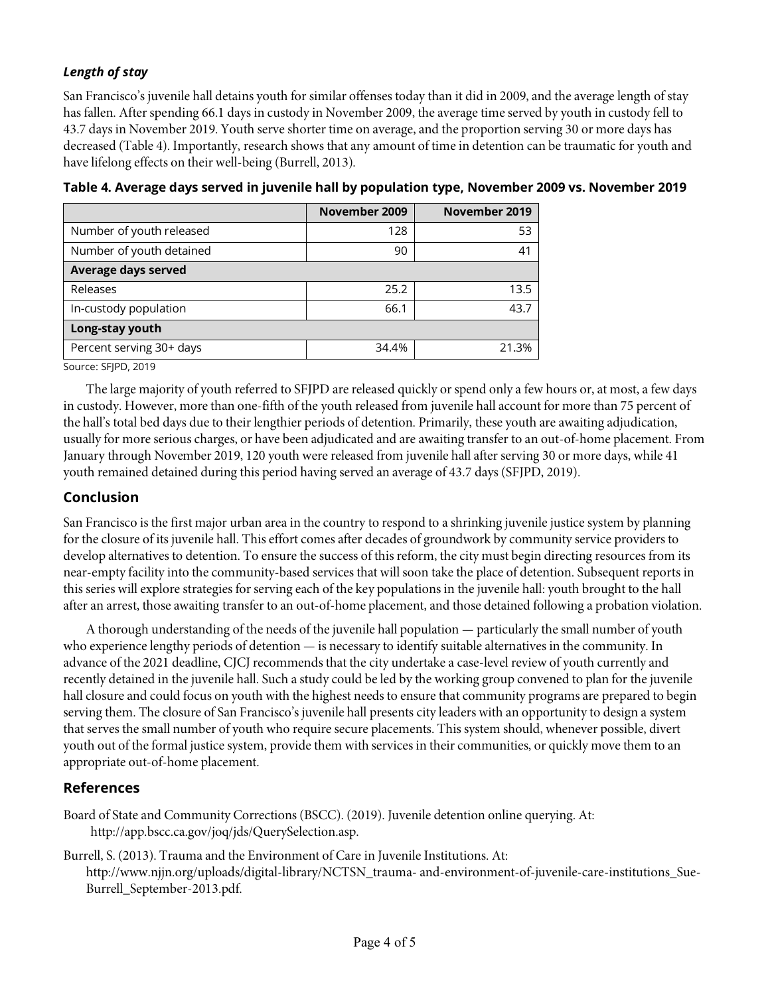# *Length of stay*

San Francisco's juvenile hall detains youth for similar offenses today than it did in 2009, and the average length of stay has fallen. After spending 66.1 days in custody in November 2009, the average time served by youth in custody fell to 43.7 days in November 2019. Youth serve shorter time on average, and the proportion serving 30 or more days has decreased (Table 4). Importantly, research shows that any amount of time in detention can be traumatic for youth and have lifelong effects on their well-being (Burrell, 2013).

|                          | November 2009 | November 2019 |  |  |
|--------------------------|---------------|---------------|--|--|
| Number of youth released | 128           | 53            |  |  |
| Number of youth detained | 90            | 41            |  |  |
| Average days served      |               |               |  |  |
| Releases                 | 25.2          | 13.5          |  |  |
| In-custody population    | 66.1          | 43.7          |  |  |
| Long-stay youth          |               |               |  |  |
| Percent serving 30+ days | 34.4%         | 21.3%         |  |  |

**Table 4. Average days served in juvenile hall by population type, November 2009 vs. November 2019**

Source: SFJPD, 2019

The large majority of youth referred to SFJPD are released quickly or spend only a few hours or, at most, a few days in custody. However, more than one-fifth of the youth released from juvenile hall account for more than 75 percent of the hall's total bed days due to their lengthier periods of detention. Primarily, these youth are awaiting adjudication, usually for more serious charges, or have been adjudicated and are awaiting transfer to an out-of-home placement. From January through November 2019, 120 youth were released from juvenile hall after serving 30 or more days, while 41 youth remained detained during this period having served an average of 43.7 days (SFJPD, 2019).

#### **Conclusion**

San Francisco is the first major urban area in the country to respond to a shrinking juvenile justice system by planning for the closure of its juvenile hall. This effort comes after decades of groundwork by community service providers to develop alternatives to detention. To ensure the success of this reform, the city must begin directing resources from its near-empty facility into the community-based services that will soon take the place of detention. Subsequent reports in this series will explore strategies for serving each of the key populations in the juvenile hall: youth brought to the hall after an arrest, those awaiting transfer to an out-of-home placement, and those detained following a probation violation.

A thorough understanding of the needs of the juvenile hall population — particularly the small number of youth who experience lengthy periods of detention — is necessary to identify suitable alternatives in the community. In advance of the 2021 deadline, CJCJ recommends that the city undertake a case-level review of youth currently and recently detained in the juvenile hall. Such a study could be led by the working group convened to plan for the juvenile hall closure and could focus on youth with the highest needs to ensure that community programs are prepared to begin serving them. The closure of San Francisco's juvenile hall presents city leaders with an opportunity to design a system that serves the small number of youth who require secure placements. This system should, whenever possible, divert youth out of the formal justice system, provide them with services in their communities, or quickly move them to an appropriate out-of-home placement.

#### **References**

Board of State and Community Corrections (BSCC). (2019). Juvenile detention online querying. At: http://app.bscc.ca.gov/joq/jds/QuerySelection.asp.

Burrell, S. (2013). Trauma and the Environment of Care in Juvenile Institutions. At: http://www.njjn.org/uploads/digital-library/NCTSN\_trauma- and-environment-of-juvenile-care-institutions\_Sue-Burrell\_September-2013.pdf.